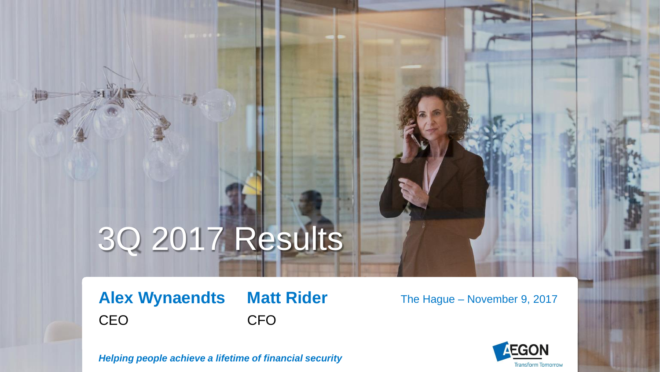# 3Q 2017 Results

**Alex Wynaendts Matt Rider** CEO CFO

The Hague – November 9, 2017



*Helping people achieve a lifetime of financial security*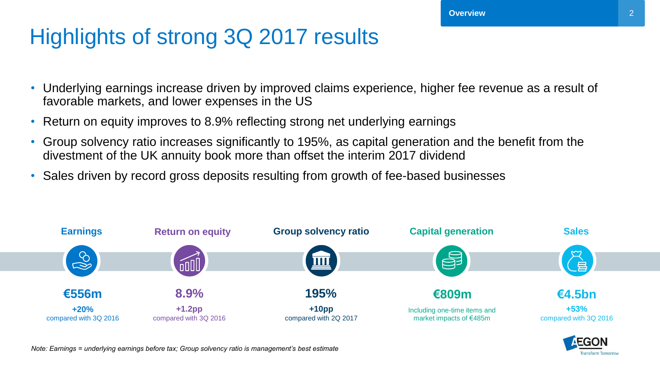# Highlights of strong 3Q 2017 results

- Underlying earnings increase driven by improved claims experience, higher fee revenue as a result of favorable markets, and lower expenses in the US
- Return on equity improves to 8.9% reflecting strong net underlying earnings
- Group solvency ratio increases significantly to 195%, as capital generation and the benefit from the divestment of the UK annuity book more than offset the interim 2017 dividend
- Sales driven by record gross deposits resulting from growth of fee-based businesses



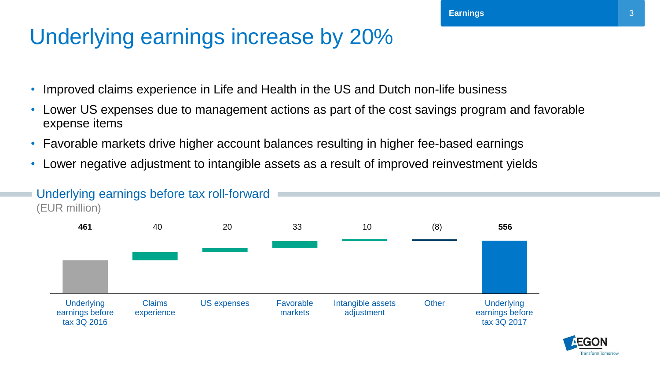### Underlying earnings increase by 20%

- Improved claims experience in Life and Health in the US and Dutch non-life business
- Lower US expenses due to management actions as part of the cost savings program and favorable expense items
- Favorable markets drive higher account balances resulting in higher fee-based earnings
- Lower negative adjustment to intangible assets as a result of improved reinvestment yields



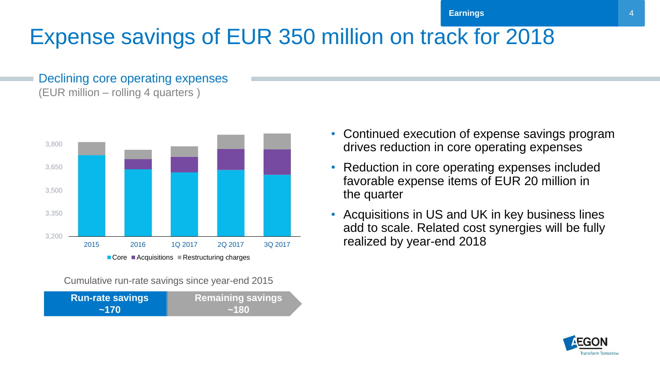# Expense savings of EUR 350 million on track for 2018

#### Declining core operating expenses (EUR million – rolling 4 quarters )



Cumulative run-rate savings since year-end 2015

| <b>Run-rate savings</b> | <b>Remaining savings</b> |
|-------------------------|--------------------------|
| ~170                    | ~180                     |

- Continued execution of expense savings program drives reduction in core operating expenses
- Reduction in core operating expenses included favorable expense items of EUR 20 million in the quarter
- Acquisitions in US and UK in key business lines add to scale. Related cost synergies will be fully realized by year-end 2018

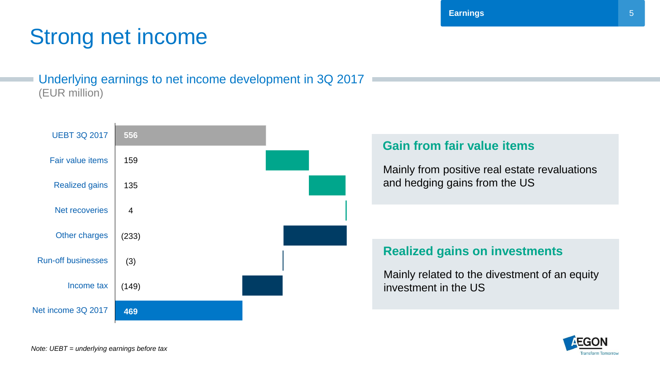# Strong net income

#### Underlying earnings to net income development in 3Q 2017 (EUR million)



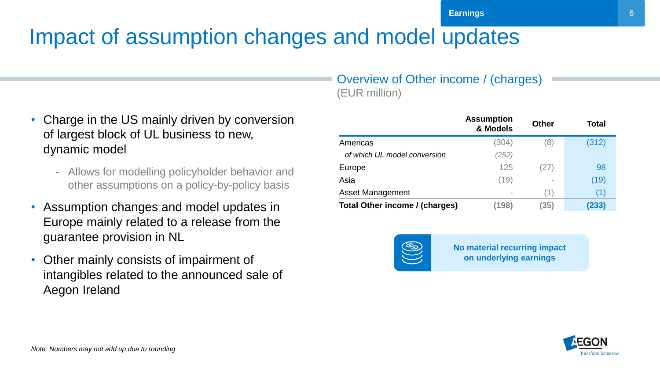# Impact of assumption changes and model updates

- Charge in the US mainly driven by conversion of largest block of UL business to new, dynamic model
	- Allows for modelling policyholder behavior and other assumptions on a policy-by-policy basis
- Assumption changes and model updates in Europe mainly related to a release from the guarantee provision in NL
- Other mainly consists of impairment of intangibles related to the announced sale of Aegon Ireland

#### Overview of Other income / (charges) (EUR million)

|                                       | <b>Assumption</b><br>& Models | <b>Other</b> | Total |
|---------------------------------------|-------------------------------|--------------|-------|
| Americas                              | (304)                         | (8)          | (312) |
| of which UL model conversion          | (252)                         |              |       |
| Europe                                | 125                           | (27)         | 98    |
| Asia                                  | (19)                          |              | (19)  |
| <b>Asset Management</b>               |                               | (1)          | (1)   |
| <b>Total Other income / (charges)</b> | (198)                         | (35)         | (233) |



**No material recurring impact on underlying earnings**



6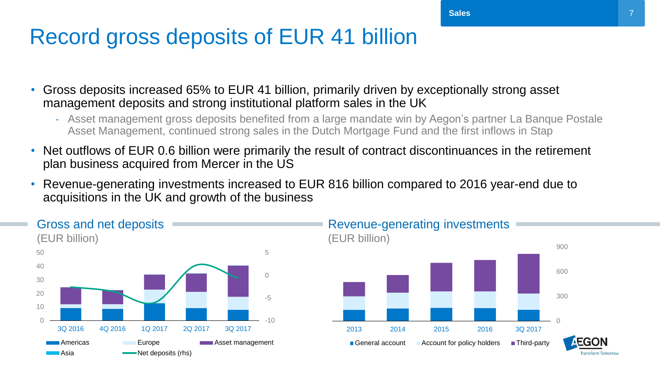### Record gross deposits of EUR 41 billion

- Gross deposits increased 65% to EUR 41 billion, primarily driven by exceptionally strong asset management deposits and strong institutional platform sales in the UK
	- Asset management gross deposits benefited from a large mandate win by Aegon's partner La Banque Postale Asset Management, continued strong sales in the Dutch Mortgage Fund and the first inflows in Stap
- Net outflows of EUR 0.6 billion were primarily the result of contract discontinuances in the retirement plan business acquired from Mercer in the US
- Revenue-generating investments increased to EUR 816 billion compared to 2016 year-end due to acquisitions in the UK and growth of the business

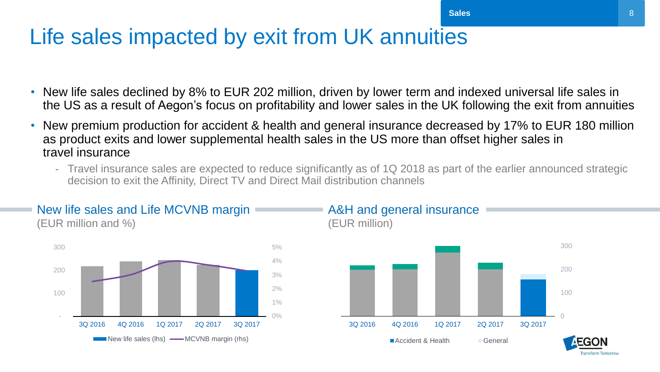### Life sales impacted by exit from UK annuities

- New life sales declined by 8% to EUR 202 million, driven by lower term and indexed universal life sales in the US as a result of Aegon's focus on profitability and lower sales in the UK following the exit from annuities
- New premium production for accident & health and general insurance decreased by 17% to EUR 180 million as product exits and lower supplemental health sales in the US more than offset higher sales in travel insurance
	- Travel insurance sales are expected to reduce significantly as of 1Q 2018 as part of the earlier announced strategic decision to exit the Affinity, Direct TV and Direct Mail distribution channels



New life sales and Life MCVNB margin

#### A&H and general insurance (EUR million)

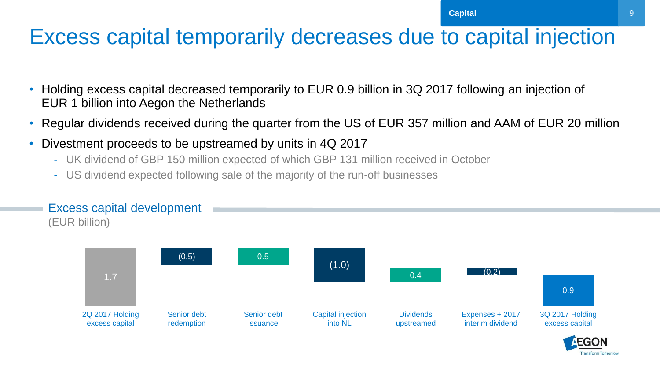#### Excess capital temporarily decreases due to capital injection

- Holding excess capital decreased temporarily to EUR 0.9 billion in 3Q 2017 following an injection of EUR 1 billion into Aegon the Netherlands
- Regular dividends received during the quarter from the US of EUR 357 million and AAM of EUR 20 million
- Divestment proceeds to be upstreamed by units in 4Q 2017
	- UK dividend of GBP 150 million expected of which GBP 131 million received in October
	- US dividend expected following sale of the majority of the run-off businesses

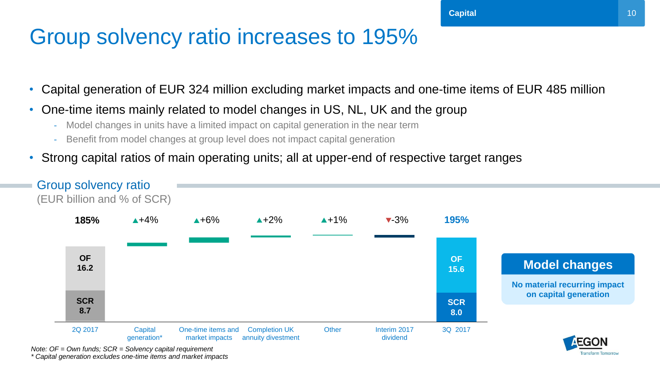### Group solvency ratio increases to 195%

- Capital generation of EUR 324 million excluding market impacts and one-time items of EUR 485 million
- One-time items mainly related to model changes in US, NL, UK and the group
	- Model changes in units have a limited impact on capital generation in the near term
	- Benefit from model changes at group level does not impact capital generation
- Strong capital ratios of main operating units; all at upper-end of respective target ranges



*Note: OF = Own funds; SCR = Solvency capital requirement \* Capital generation excludes one-time items and market impacts*

ransform Tomorroy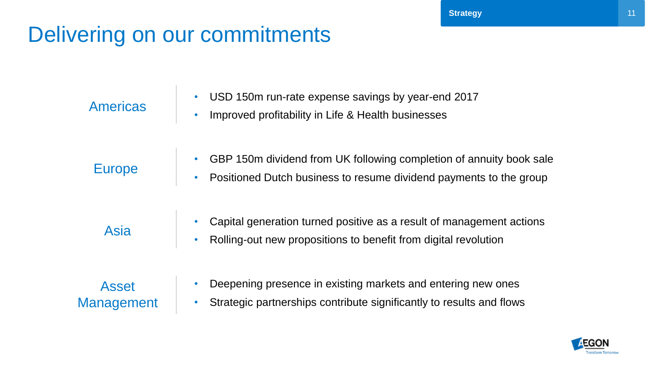# Delivering on our commitments

| <b>Americas</b>            | USD 150m run-rate expense savings by year-end 2017<br>$\bullet$<br>Improved profitability in Life & Health businesses<br>$\bullet$                             |
|----------------------------|----------------------------------------------------------------------------------------------------------------------------------------------------------------|
| <b>Europe</b>              | GBP 150m dividend from UK following completion of annuity book sale<br>Positioned Dutch business to resume dividend payments to the group                      |
| Asia                       | Capital generation turned positive as a result of management actions<br>$\bullet$<br>Rolling-out new propositions to benefit from digital revolution           |
| <b>Asset</b><br>Management | Deepening presence in existing markets and entering new ones<br>$\bullet$<br>Strategic partnerships contribute significantly to results and flows<br>$\bullet$ |

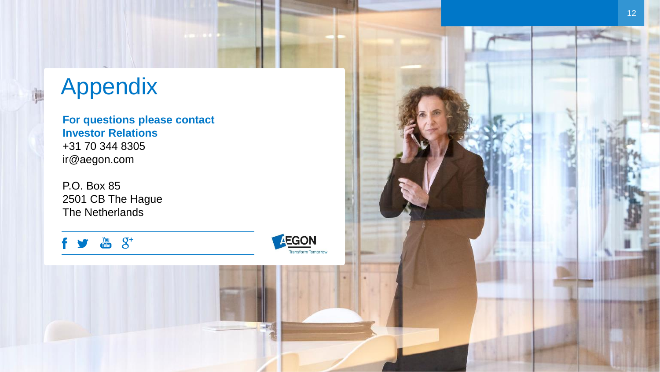# Appendix

**For questions please contact Investor Relations** +31 70 344 8305 ir@aegon.com

P.O. Box 85 2501 CB The Hague The Netherlands

 $\frac{You}{Table}$   $S^+$ 

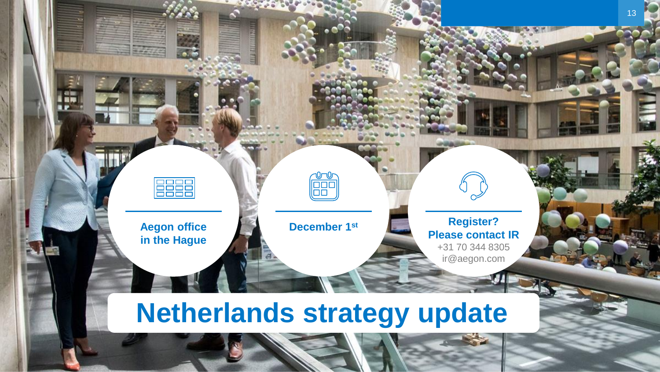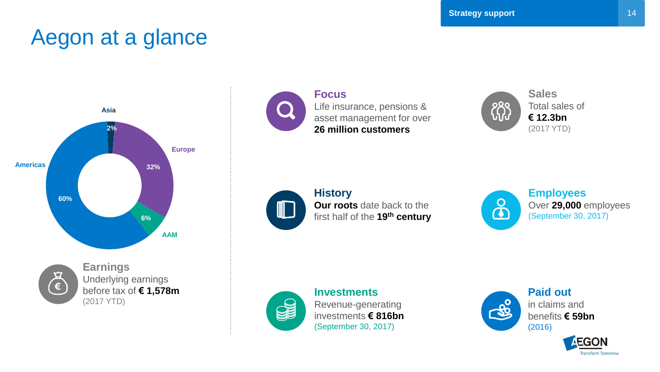#### Aegon at a glance





**Earnings** Underlying earnings before tax of **€ 1,578m** (2017 YTD)



**Focus** Life insurance, pensions & asset management for over **26 million customers**



Total sales of **€ 12.3bn** (2017 YTD)

#### **History**

**Our roots** date back to the first half of the **19th century**



**Employees** Over **29,000** employees (September 30, 2017)



W

**Investments** Revenue-generating investments **€ 816bn** (September 30, 2017)



**Paid out** in claims and benefits **€ 59bn** (2016)

**EGON** 

**Transform Tomorrow**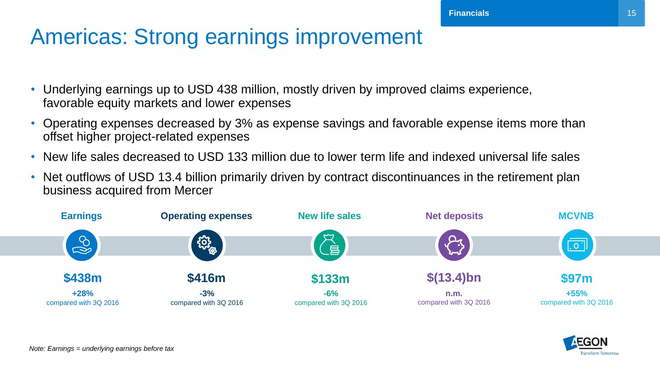#### Americas: Strong earnings improvement

- Underlying earnings up to USD 438 million, mostly driven by improved claims experience, favorable equity markets and lower expenses
- Operating expenses decreased by 3% as expense savings and favorable expense items more than offset higher project-related expenses
- New life sales decreased to USD 133 million due to lower term life and indexed universal life sales
- Net outflows of USD 13.4 billion primarily driven by contract discontinuances in the retirement plan business acquired from Mercer



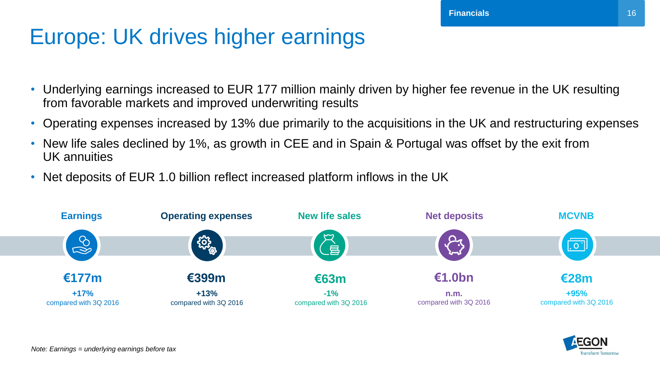### Europe: UK drives higher earnings

- Underlying earnings increased to EUR 177 million mainly driven by higher fee revenue in the UK resulting from favorable markets and improved underwriting results
- Operating expenses increased by 13% due primarily to the acquisitions in the UK and restructuring expenses
- New life sales declined by 1%, as growth in CEE and in Spain & Portugal was offset by the exit from UK annuities
- Net deposits of EUR 1.0 billion reflect increased platform inflows in the UK



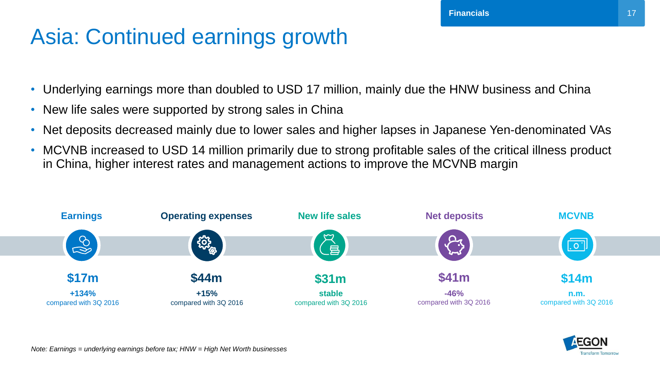### Asia: Continued earnings growth

- Underlying earnings more than doubled to USD 17 million, mainly due the HNW business and China
- New life sales were supported by strong sales in China
- Net deposits decreased mainly due to lower sales and higher lapses in Japanese Yen-denominated VAs
- MCVNB increased to USD 14 million primarily due to strong profitable sales of the critical illness product in China, higher interest rates and management actions to improve the MCVNB margin



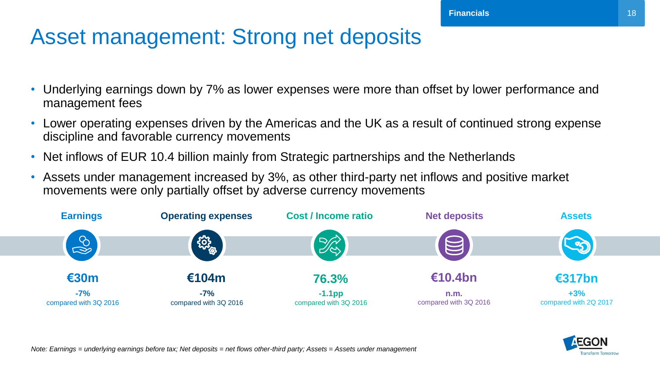### Asset management: Strong net deposits

- Underlying earnings down by 7% as lower expenses were more than offset by lower performance and management fees
- Lower operating expenses driven by the Americas and the UK as a result of continued strong expense discipline and favorable currency movements
- Net inflows of EUR 10.4 billion mainly from Strategic partnerships and the Netherlands
- Assets under management increased by 3%, as other third-party net inflows and positive market movements were only partially offset by adverse currency movements



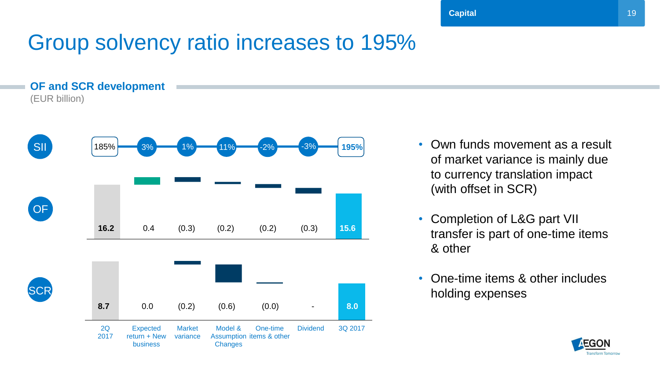### Group solvency ratio increases to 195%

**OF and SCR development** (EUR billion)



- Own funds movement as a result of market variance is mainly due to currency translation impact (with offset in SCR)
- Completion of L&G part VII transfer is part of one-time items & other
- One-time items & other includes holding expenses

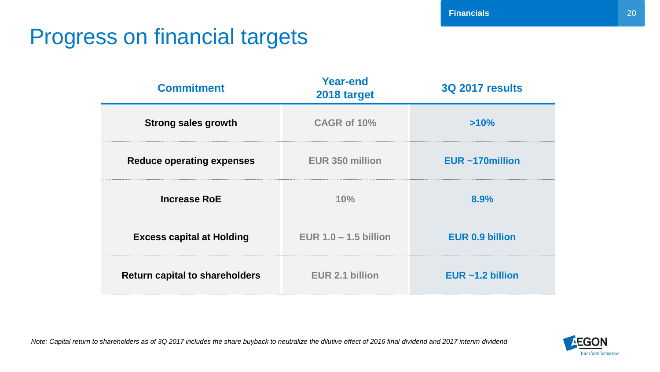### Progress on financial targets

| <b>Commitment</b>                                        | <b>Year-end</b><br>2018 target | <b>3Q 2017 results</b> |
|----------------------------------------------------------|--------------------------------|------------------------|
| <b>Strong sales growth</b>                               | CAGR of 10%                    | >10%                   |
| <b>Reduce operating expenses</b>                         | <b>EUR 350 million</b>         | EUR ~170million        |
| <b>Increase RoE</b>                                      | 10%                            |                        |
| <b>Excess capital at Holding</b>                         | EUR $1.0 - 1.5$ billion        | <b>EUR 0.9 billion</b> |
| EUR 2.1 billion<br><b>Return capital to shareholders</b> |                                | EUR $~1.2$ billion     |

*Note: Capital return to shareholders as of 3Q 2017 includes the share buyback to neutralize the dilutive effect of 2016 final dividend and 2017 interim dividend*

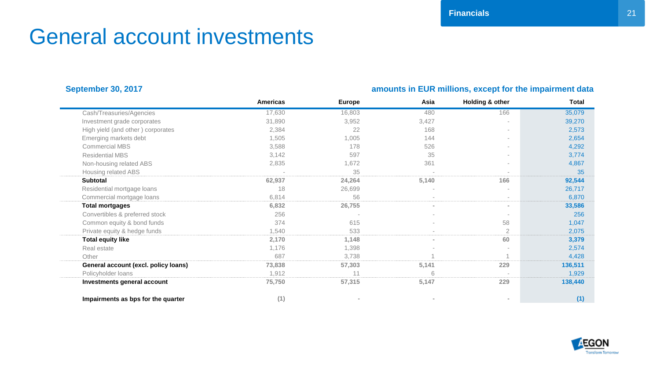### General account investments

#### **September 30, 2017 amounts in EUR millions, except for the impairment data**

|                                      | <b>Americas</b> | <b>Europe</b> | Asia   | Holding & other | <b>Total</b> |
|--------------------------------------|-----------------|---------------|--------|-----------------|--------------|
| Cash/Treasuries/Agencies             | 17,630          | 16,803        | 480    | 166             | 35,079       |
| Investment grade corporates          | 31,890          | 3,952         | 3,427  |                 | 39,270       |
| High yield (and other) corporates    | 2,384           | 22            | 168    |                 | 2,573        |
| Emerging markets debt                | 1,505           | 1,005         | 144    |                 | 2,654        |
| <b>Commercial MBS</b>                | 3,588           | 178           | 526    |                 | 4,292        |
| <b>Residential MBS</b>               | 3,142           | 597           | 35     |                 | 3,774        |
| Non-housing related ABS              | 2,835           | 1,672         | 361    |                 | 4,867        |
| Housing related ABS                  |                 | 35            |        |                 | 35           |
| <b>Subtotal</b>                      | 62,937          | 24,264        | 5,140  | 166             | 92,544       |
| Residential mortgage loans           | 18              | 26,699        |        |                 | 26,717       |
| Commercial mortgage loans            | 6,814           | 56            | $\sim$ |                 | 6,870        |
| <b>Total mortgages</b>               | 6,832           | 26,755        | $\sim$ | $\sim$          | 33,586       |
| Convertibles & preferred stock       | 256             |               | $\sim$ |                 | 256          |
| Common equity & bond funds           | 374             | 615           |        | 58              | 1,047        |
| Private equity & hedge funds         | 1,540           | 533           | $\sim$ | $\overline{2}$  | 2,075        |
| <b>Total equity like</b>             | 2,170           | 1,148         | $\sim$ | 60              | 3,379        |
| Real estate                          | 1,176           | 1,398         |        |                 | 2,574        |
| Other                                | 687             | 3,738         |        |                 | 4,428        |
| General account (excl. policy loans) | 73,838          | 57,303        | 5,141  | 229             | 136,511      |
| Policyholder loans                   | 1,912           | 11            | 6      |                 | 1,929        |
| Investments general account          | 75,750          | 57,315        | 5,147  | 229             | 138,440      |
| Impairments as bps for the quarter   | (1)             |               |        |                 | (1)          |

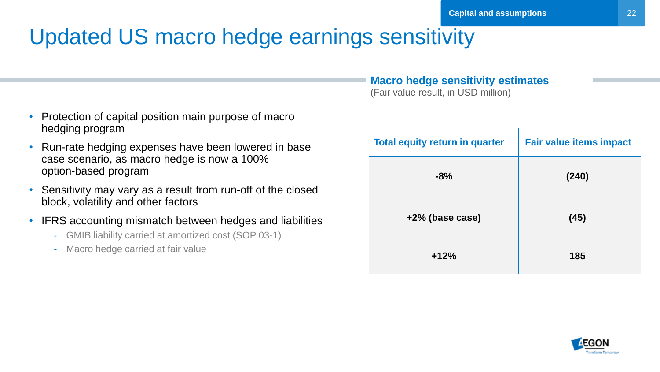### Updated US macro hedge earnings sensitivity

- Protection of capital position main purpose of macro hedging program
- Run-rate hedging expenses have been lowered in base case scenario, as macro hedge is now a 100% option-based program
- Sensitivity may vary as a result from run-off of the closed block, volatility and other factors
- IFRS accounting mismatch between hedges and liabilities
	- GMIB liability carried at amortized cost (SOP 03-1)
	- Macro hedge carried at fair value

#### **Macro hedge sensitivity estimates**

(Fair value result, in USD million)

| <b>Total equity return in quarter</b> | <b>Fair value items impact</b> |
|---------------------------------------|--------------------------------|
| $-8%$                                 | (240)                          |
| +2% (base case)                       | (45)                           |
| $+12%$                                | 185                            |

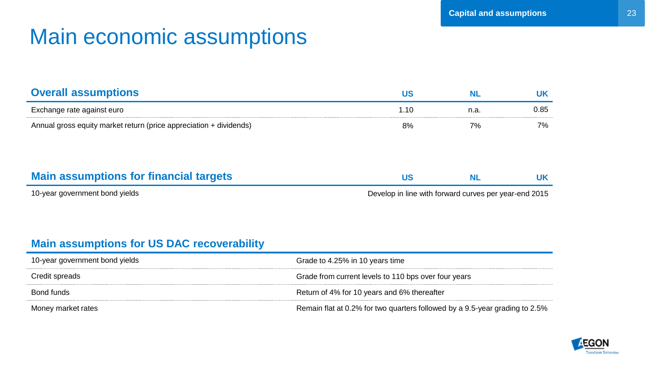### Main economic assumptions

| <b>Overall assumptions</b>                                         | <b>US</b> | <b>NL</b> | <b>UK</b> |
|--------------------------------------------------------------------|-----------|-----------|-----------|
| Exchange rate against euro                                         | 1.10      | n.a.      | 0.85      |
| Annual gross equity market return (price appreciation + dividends) | 8%        | 7%        | 7%        |
|                                                                    |           |           |           |
|                                                                    |           |           |           |
| <b>Main assumptions for financial targets</b>                      | <b>US</b> | NL.       | UK        |

10-year government bond yields Develop in line with forward curves per year-end 2015

#### **Main assumptions for US DAC recoverability**

| 10-year government bond yields | Grade to 4.25% in 10 years time                                             |
|--------------------------------|-----------------------------------------------------------------------------|
| Credit spreads                 | Grade from current levels to 110 bps over four years                        |
| Bond funds                     | Return of 4% for 10 years and 6% thereafter                                 |
| Money market rates             | Remain flat at 0.2% for two quarters followed by a 9.5-year grading to 2.5% |

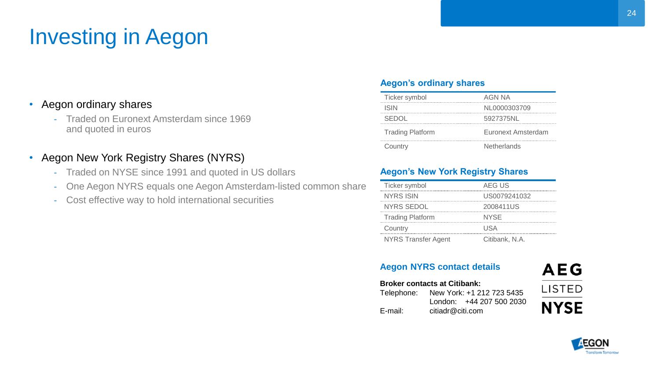# Investing in Aegon

#### • Aegon ordinary shares

- Traded on Euronext Amsterdam since 1969 and quoted in euros

#### • Aegon New York Registry Shares (NYRS)

- Traded on NYSE since 1991 and quoted in US dollars
- One Aegon NYRS equals one Aegon Amsterdam-listed common share
- Cost effective way to hold international securities

#### **Aegon's ordinary shares**

| Ticker symbol           | AGN NA             |
|-------------------------|--------------------|
| <b>ISIN</b>             | NL0000303709       |
| <b>SEDOL</b>            | 5927375NL          |
| <b>Trading Platform</b> | Euronext Amsterdam |
| Country                 | <b>Netherlands</b> |

#### **Aegon's New York Registry Shares**

| Ticker symbol              | AEG US         |
|----------------------------|----------------|
| <b>NYRS ISIN</b>           | US0079241032   |
| NYRS SEDOL                 | 2008411US      |
| <b>Trading Platform</b>    | <b>NYSE</b>    |
| Country                    | USA            |
| <b>NYRS Transfer Agent</b> | Citibank, N.A. |

#### **Aegon NYRS contact details**

#### **Broker contacts at Citibank:** Telephone: New York: +1 212 723 5435

| London: +44 207 500 2030 |
|--------------------------|
|                          |
| citiadr@citi.com         |